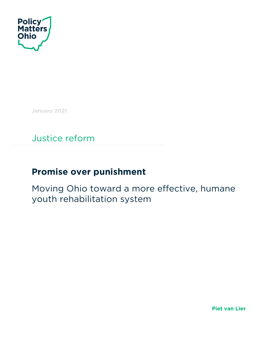

January 2021

Justice reform

# **Promise over punishment**

Moving Ohio toward a more effective, humane youth rehabilitation system

**Piet van Lier**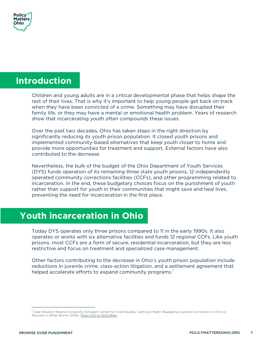

### **Introduction**

Children and young adults are in a critical developmental phase that helps shape the rest of their lives. That is why it's important to help young people get back on track when they have been convicted of a crime. Something may have disrupted their family life, or they may have a mental or emotional health problem. Years of research show that incarcerating youth often compounds these issues.

Over the past two decades, Ohio has taken steps in the right direction by significantly reducing its youth prison population. It closed youth prisons and implemented community-based alternatives that keep youth closer to home and provide more opportunities for treatment and support. External factors have also contributed to the decrease.

Nevertheless, the bulk of the budget of the Ohio Department of Youth Services (DYS) funds operation of its remaining three state youth prisons, 12 independently operated community corrections facilities (CCFs), and other programming related to incarceration. In the end, these budgetary choices focus on the punishment of youth rather than support for youth in their communities that might save and heal lives, preventing the need for incarceration in the first place.

# **Youth incarceration in Ohio**

Today DYS operates only three prisons compared to 11 in the early 1990s. It also operates or works with six alternative facilities and funds 12 regional CCFs. Like youth prisons, most CCFs are a form of secure, residential incarceration, but they are less restrictive and focus on treatment and specialized case management.

Other factors contributing to the decrease in Ohio's youth prison population include reductions in juvenile crime, class-action litigation, and a settlement agreement that helped accelerate efforts to expand community programs.<sup>1</sup>

<sup>&</sup>lt;sup>1</sup> Case Western Reserve University Schubert Center for Child Studies, Getting It Right: Realigning Juvenile Corrections in Ohio to Reinvest in What Works (2015). https://bit.ly/3pQuW6e.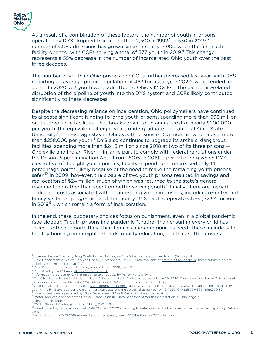

As a result of a combination of these factors, the number of youth in prisons operated by DYS dropped from more than 2,500 in 1992 $^2$  to 530 in 2019.<sup>3</sup> The number of CCF admissions has grown since the early 1990s, when the first such facility opened, with CCFs serving a total of 577 youth in 2019.<sup>4</sup> This change represents a 55% decrease in the number of incarcerated Ohio youth over the past three decades.

The number of youth in Ohio prisons and CCFs further decreased last year, with DYS reporting an average prison population of 463 for fiscal year 2020, which ended in June.<sup>5</sup> In 2020, 313 youth were admitted to Ohio's 12 CCFs.<sup>6</sup> The pandemic-related disruption of the pipeline of youth into the DYS system and CCFs likely contributed significantly to these decreases.

Despite the decreasing reliance on incarceration, Ohio policymakers have continued to allocate significant funding to large youth prisons, spending more than \$96 million on its three large facilities. That breaks down to an annual cost of nearly \$200,000 per youth, the equivalent of eight years undergraduate education at Ohio State University.<sup>7</sup> The average stay in Ohio youth prisons is 15.5 months, which costs more than \$258,000 per youth. $8$  DYS also continues to upgrade its archaic, dangerous facilities, spending more than \$24.5 million since 2018 at two of its three prisons — Circleville and Indian River  $-$  in large part to comply with federal regulations under the Prison Rape Elimination Act.<sup>9</sup> From 2005 to 2019, a period during which DYS closed five of its eight youth prisons, facility expenditures decreased only 14 percentage points, likely because of the need to make the remaining youth prisons safer.<sup>10</sup> In 2009, however, the closure of two youth prisons resulted in savings and reallocation of \$24 million, much of which was returned to the state's general revenue fund rather than spent on better serving youth.<sup>11</sup> Finally, there are myriad additional costs associated with incarcerating youth in prisons, including re-entry and family visitation programs<sup>12</sup> and the money DYS paid to operate CCFs (\$23.4 million in 2019 $^{13}$ ), which remain a form of incarceration.

In the end, these budgetary choices focus on punishment, even in a global pandemic (see sidebar: "Youth prisons in a pandemic"), rather than ensuring every child has access to the supports they, their families and communities need. These include safe, healthy housing and neighborhoods; quality education; health care that covers

<sup>&</sup>lt;sup>2</sup> Juvenile Justice Coalition, Bring Youth Home: Building on Ohio's Deincarceration Leadership (2016). p. 4.<br><sup>3</sup> Ohio Department of Youth Services Monthly Fact Sheets, FY2020 data, available at <u>https://bit.ly/3959bJb</u>. T

include youth incarcerated at CCFs.<br><sup>4</sup> Ohio Department of Youth Services, Annual Report 2019, page 7.<br><sup>5</sup> DYS Monthly Fact Sheets, https://bit.ly/3959bJb.<br><sup>6</sup> Information provided by DYS in response to a request by Policy

<sup>&</sup>lt;sup>8</sup> Ohio Department of Youth Services, <u>DYS Monthly Fact Sheet</u> (July 2020), last accessed July 29, 2020. The annual cost is taken by adding the FY19 average per diem and marginal costs and multiplying that number by 12 [(\$521.64+\$25.65)x365=\$199,760.85].<br><sup>9</sup> From spreadsheets provided by Ohio Department of Youth Services, November 2020.

<sup>19</sup> From spreadsheets provided by Ohio Department of Theories, November 2020. 10 Matei, Andreea and Samantha Harvell, Urban Institute, Data Snapshot of Youth Incarceration in Ohio, page 7.

<sup>&</sup>lt;u>https://urbn.is/3qa6MUj</u>.<br><sup>11</sup> CWRU Shubert Center, p. 4. <u>https://bit.ly/3pQuW6e</u>.<br><sup>12</sup> Reentry staffing, for example, cost \$948,000 in FY2020 according to data provided by DYS in response to a request by Policy Matters Ohio.

According to the DYS 2019 Annual Report, the agency spent \$23.4 million on CCFs that year.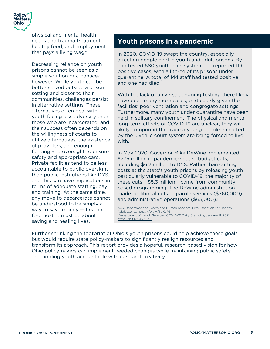

physical and mental health needs and trauma treatment; healthy food; and employment that pays a living wage.

Decreasing reliance on youth prisons cannot be seen as a simple solution or a panacea, however. While youth can be better served outside a prison setting and closer to their communities, challenges persist in alternative settings. These alternatives often deal with youth facing less adversity than those who are incarcerated, and their success often depends on the willingness of courts to utilize alternatives, the existence of providers, and enough funding and oversight to ensure safety and appropriate care. Private facilities tend to be less accountable to public oversight than public institutions like DYS, and this can have implications in terms of adequate staffing, pay and training. At the same time, any move to decarcerate cannot be understood to be simply a way to save money — first and foremost, it must be about saving and healing lives.

### **Youth prisons in a pandemic**

In 2020, COVID-19 swept the country, especially affecting people held in youth and adult prisons. By had tested 680 youth in its system and reported 119 positive cases, with all three of its prisons under quarantine. A total of 144 staff had tested positive and one had died.\*

With the lack of universal, ongoing testing, there likely have been many more cases, particularly given the facilities' poor ventilation and congregate settings. Furthermore, many youth under quarantine have been held in solitary confinement. The physical and mental long-term effects of COVID-19 are unclear, they will likely compound the trauma young people impacted by the juvenile court system are being forced to live with.

In May 2020, Governor Mike DeWine implemented \$775 million in pandemic-related budget cuts, including \$6.2 million to DYS. Rather than cutting costs at the state's youth prisons by releasing youth particularly vulnerable to COVID-19, the majority of these cuts – \$5.3 million – came from communitybased programming. The DeWine administration made additional cuts to parole services (\$760,000) and administrative operations (\$65,000).†

\*U.S. Department of Health and Human Services, Five Essentials for Healthy Adolescents, https://bit.ly/3qKtlPS. †Department of Youth Services, COVID-19 Daily Statistics, January 11, 2021. https://bit.ly/3i6PHYE.

Further shrinking the footprint of Ohio's youth prisons could help achieve these goals but would require state policy-makers to significantly realign resources and transform its approach. This report provides a hopeful, research-based vision for how Ohio policymakers can implement needed changes while maintaining public safety and holding youth accountable with care and creativity.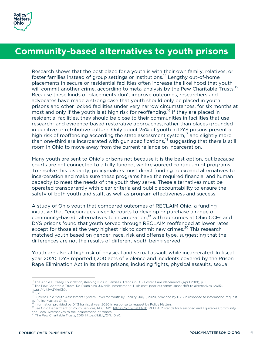

## **Community-based alternatives to youth prisons**

Research shows that the best place for a youth is with their own family, relatives, or foster families instead of group settings or institutions.<sup>14</sup> Lengthy out-of-home placements in secure or residential facilities often increase the likelihood that youth will commit another crime, according to meta-analysis by the Pew Charitable Trusts.<sup>15</sup> Because these kinds of placements don't improve outcomes, researchers and advocates have made a strong case that youth should only be placed in youth prisons and other locked facilities under very narrow circumstances, for six months at most and only if the youth is at high risk for reoffending.<sup>16</sup> If they are placed in residential facilities, they should be close to their communities in facilities that use research- and evidence-based restorative approaches, rather than places grounded in punitive or retributive culture. Only about 25% of youth in DYS prisons present a high risk of reoffending according the state assessment system, $17$  and slightly more than one-third are incarcerated with gun specifications, $18$  suggesting that there is still room in Ohio to move away from the current reliance on incarceration.

Many youth are sent to Ohio's prisons not because it is the best option, but because courts are not connected to a fully funded, well-resourced continuum of programs. To resolve this disparity, policymakers must direct funding to expand alternatives to incarceration and make sure these programs have the required financial and human capacity to meet the needs of the youth they serve. These alternatives must be operated transparently with clear criteria and public accountability to ensure the safety of both youth and staff, as well as program effectiveness and success.

A study of Ohio youth that compared outcomes of RECLAIM Ohio, a funding initiative that "encourages juvenile courts to develop or purchase a range of community-based" alternatives to incarceration, <sup>19</sup> with outcomes at Ohio CCFs and DYS prisons found that youth served through RECLAIM reoffended at lower rates except for those at the very highest risk to commit new crimes.<sup>20</sup> This research matched youth based on gender, race, risk and offense type, suggesting that the differences are not the results of different youth being served.

Youth are also at high risk of physical and sexual assault while incarcerated. In fiscal year 2020, DYS reported 1,200 acts of violence and incidents covered by the Prison Rape Elimination Act in its three prisons, including fights, physical assaults, sexual

<sup>&</sup>lt;sup>14</sup> The Annie E. Casey Foundation, Keeping Kids in Families: Trends in U.S. Foster Care Placements (April 2019), p. 1.<br><sup>15</sup> The Pew Charitable Trusts, Re-Examining Juvenile Incarceration: High cost, poor outcomes spark sh

 $\frac{16}{V}$  Ibid.<br> $\frac{1}{V}$  Current Ohio Youth Assessment System Level for Youth by Facility, July 1, 2020, provided by DYS in response to information request by Policy Matters Ohio.<br><sup>18</sup> Information provided by DYS for fiscal year 2020 in response to request by Policy Matters.

<sup>18</sup> Information provided by DYS from Fiscal year 2020 in response to reponse to request by Policy Matters. 19 See Ohio Department of Youth Services, RECLAIM. https://bit.ly/3afTAHh. RECLAIM stands for Reasoned and Equitable and Local Alternatives to the Incarceration of Minors. <sup>20</sup> The Pew Charitable Trusts, 2015, https://bit.ly/2Ykn0hX.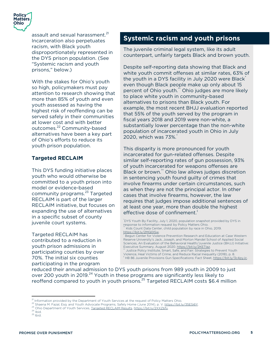

assault and sexual harassment.<sup>21</sup> Incarceration also perpetuates racism, with Black youth disproportionately represented in the DYS prison population. (See "Systemic racism and youth prisons," below.)

With the stakes for Ohio's youth so high, policymakers must pay attention to research showing that more than 85% of youth and even youth assessed as having the highest risk of reoffending can be served safely in their communities at lower cost and with better outcomes.<sup>22</sup> Community-based alternatives have been a key part of Ohio's efforts to reduce its youth prison population.

#### **Targeted RECLAIM**

This DYS funding initiative places youth who would otherwise be committed to a youth prison into model or evidence-based community programs.<sup>23</sup> Targeted RECLAIM is part of the larger RECLAIM initiative, but focuses on expanding the use of alternatives in a specific subset of county juvenile court systems.

Targeted RECLAIM has contributed to a reduction in youth prison admissions in participating counties by over 70%. The initial six counties participating in the program

### **Systemic racism and youth prisons**

The juvenile criminal legal system, like its adult counterpart, unfairly targets Black and brown youth.

Despite self-reporting data showing that Black and white youth commit offenses at similar rates, 63% of the youth in a DYS facility in July 2020 were Black<sup>\*</sup> even though Black people make up only about 15 percent of Ohio youth." Ohio judges are more likely to place white youth in community-based alternatives to prisons than Black youth. For example, the most recent BHJJ evaluation reported that 55% of the youth served by the program in fiscal years 2018 and 2019 were non-white, a substantially lower percentage than the non-white population of incarcerated youth in Ohio in July 2020, which was 73%.†

This disparity is more pronounced for youth incarcerated for gun-related offenses. Despite similar self-reporting rates of gun possession, 93% of youth incarcerated for weapons offenses are Black or brown.<sup>††</sup> Ohio law allows judges discretion in sentencing youth found guilty of crimes that involve firearms under certain circumstances, such as when they are not the principal actor. In other cases that involve firearms, however, the law requires that judges impose additional sentences of at least one year, more than double the highest effective dose of confinement.‡

\* DYS Youth By Facility, July 1, 2020, population snapshot provided by DYS in response to information request by Policy Matters Ohio. Kids Count Data Center, child population by race in Ohio, 2019.

https://bit.ly/2MQ0ISw.<br><sup>†</sup> Begun Center for Violence Prevention Research and Education at Case Western Reserve University's Jack, Joseph, and Morton Mandel School of Applied Social Sciences, An Evaluation of the Behavioral Health/Juvenile Justice (BHJJ) Initiative:<br>Executive Summary, August 2020. https://bit.ly/2KETIaz.

Justice Policy Institute, Smart, Safe, and Fair: Strategies to Prevent Youth

Violence, Heal Victims of Crime, and Reduce Racial Inequality (2018), p. 8.<br><sup>‡</sup> HB 86 Juvenile Provisions Gun Specifications: Fact Sheet, <u>https://bit.ly/3c4pyJc</u>.

reduced their annual admission to DYS youth prisons from 989 youth in 2009 to just over 200 youth in 2019.<sup>24</sup> Youth in these programs are significantly less likely to reoffend compared to youth in youth prisons.<sup>25</sup> Targeted RECLAIM costs \$6.4 million

<sup>&</sup>lt;sup>21</sup> Information provided by the Department of Youth Services at the request of Policy Matters Ohio.<br>
<sup>22</sup> Shaena M. Fazal, Esq. and Youth Advocate Programs, Safely Home (June 2014), p. V. <u>https://bit.ly/35ESi6Y</u><br>
<sup>23</sup> O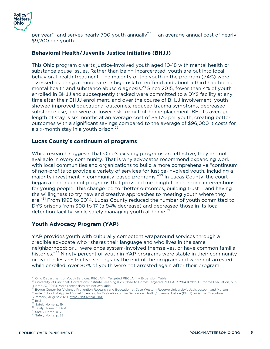

per year<sup>26</sup> and serves nearly 700 youth annually<sup>27</sup> — an average annual cost of nearly \$9,200 per youth.

#### **Behavioral Health/Juvenile Justice Initiative (BHJJ)**

This Ohio program diverts justice-involved youth aged 10-18 with mental health or substance abuse issues. Rather than being incarcerated, youth are put into local behavioral health treatment. The majority of the youth in the program (74%) were assessed as being at moderate or high risk to reoffend and about a third had both a mental health and substance abuse diagnosis.<sup>28</sup> Since 2015, fewer than 4% of youth enrolled in BHJJ and subsequently tracked were committed to a DYS facility at any time after their BHJJ enrollment, and over the course of BHJJ involvement, youth showed improved educational outcomes, reduced trauma symptoms, decreased substance use, and were at lower risk for out-of-home placement. BHJJ's average length of stay is six months at an average cost of \$5,170 per youth, creating better outcomes with a significant savings compared to the average of \$96,000 it costs for a six-month stay in a youth prison.<sup>29</sup>

#### **Lucas County's continuum of programs**

While research suggests that Ohio's existing programs are effective, they are not available in every community. That is why advocates recommend expanding work with local communities and organizations to build a more comprehensive "continuum of non-profits to provide a variety of services for justice-involved youth, including a majority investment in community-based programs."<sup>30</sup> In Lucas County, the court began a continuum of programs that provided meaningful one-on-one interventions for young people. This change led to "better outcomes, building trust … and having the willingness to try new and creative approaches to meeting youth where they are."<sup>31</sup> From 1998 to 2014, Lucas County reduced the number of youth committed to DYS prisons from 300 to 17 (a 94% decrease) and decreased those in its local detention facility, while safely managing youth at home. $32$ 

#### **Youth Advocacy Program (YAP)**

YAP provides youth with culturally competent wraparound services through a credible advocate who "shares their language and who lives in the same neighborhood; or … were once system-involved themselves, or have common familial histories."<sup>33</sup> Ninety percent of youth in YAP programs were stable in their community or lived in less restrictive settings by the end of the program and were not arrested while enrolled; over 80% of youth were not arrested again after their program

<sup>&</sup>lt;sup>26</sup> Ohio Department of Youth Services, <u>RECLAIM: Targeted RECLAIM – Expansion</u>, Table.<br><sup>27</sup> University of Cincinnati Corrections Institute, <u>Keeping Kids Close to Home: Targeted RECLAIM 2014 & 2015 Outcome Evaluation,</u> p.

<sup>(</sup>March 23, 2018). More recent data are not available.<br><sup>28</sup> Begun Center for Violence Prevention Research and Education at Case Western Reserve University's Jack, Joseph, and Morton Mandel School of Applied Social Sciences, An Evaluation of the Behavioral Health/Juvenile Justice (BHJJ) Initiative: Executive Summary, August 2020. https://bit.ly/2KETIaz.<br><sup>29</sup> Ibid.<br><sup>30</sup> Safely Home, p. 19.<br><sup>31</sup> Safely Home, p. 13-14.<br><sup>32</sup> Safely Home, p. v.<br><sup>33</sup> Safely Home, p. 33.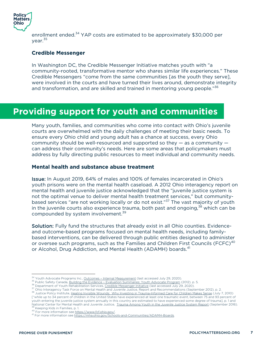

enrollment ended.<sup>34</sup> YAP costs are estimated to be approximately \$30,000 per year.<sup>35</sup>

#### **Credible Messenger**

In Washington DC, the Credible Messenger Initiative matches youth with "a community-rooted, transformative mentor who shares similar life experiences." These Credible Messengers "come from the same communities [as the youth they serve], were involved in the courts and have turned their lives around, demonstrate integrity and transformation, and are skilled and trained in mentoring young people."<sup>36</sup>

# **Providing support for youth and communities**

Many youth, families, and communities who come into contact with Ohio's juvenile courts are overwhelmed with the daily challenges of meeting their basic needs. To ensure every Ohio child and young adult has a chance at success, every Ohio community should be well-resourced and supported so they — as a community can address their community's needs. Here are some areas that policymakers must address by fully directing public resources to meet individual and community needs.

#### **Mental health and substance abuse treatment**

Issue: In August 2019, 64% of males and 100% of females incarcerated in Ohio's youth prisons were on the mental health caseload. A 2012 Ohio interagency report on mental health and juvenile justice acknowledged that the "juvenile justice system is not the optimal venue to deliver mental health treatment services," but communitybased services "are not working locally or do not exist."<sup>37</sup> The vast majority of youth in the juvenile courts also experience trauma, both past and ongoing, $38$  which can be compounded by system involvement.<sup>39</sup>

Solution: Fully fund the structures that already exist in all Ohio counties. Evidenceand outcome-based programs focused on mental health needs, including familybased interventions, can be delivered through public entities designed to administer or oversee such programs, such as the Families and Children First Councils (FCFC)<sup>40</sup> or Alcohol, Drug Addiction, and Mental Health (ADAMH) boards.<sup>41</sup>

<sup>&</sup>lt;sup>34</sup> Youth Advocate Programs Inc., <u>Outcomes - Internal Measurement</u> (last accessed July 29, 2020).<br><sup>35</sup> Public Safety Canada, <u>Building the Evidence - Evaluation Summaries: Youth Advocate Program</u> (2012), p. 5.<br><sup>36</sup> Depa ["while up to 34 percent of children in the United States have experienced at least one traumatic event, between 75 and 93 percent of youth entering the juvenile justice system annually in this country are estimated to have experienced some degree of trauma], p. 1 and<br>National Center for Mental Health and Juvenile Justice, Trauma Among Youth in the Juven

<sup>&</sup>lt;sup>39</sup> Keeping Kids in Families, p. 1.<br><sup>40</sup> For more information see <u>https://www.fcf.ohio.gov/</u>.<br><sup>41</sup> For more information see <u>https://mha.ohio.gov/Schools-and-Communities/ADAMH-Boards</u>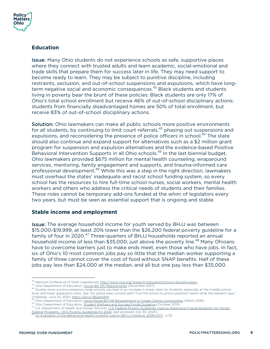

#### **Education**

Issue: Many Ohio students do not experience schools as safe, supportive places where they connect with trusted adults and learn academic, social-emotional and trade skills that prepare them for success later in life. They may need support to become ready to learn. They may be subject to punitive discipline, including restraints, seclusion, and out-of-school suspensions and expulsions, which have longterm negative social and economic consequences.<sup>42</sup> Black students and students living in poverty bear the brunt of these policies: Black students are only 17% of Ohio's total school enrollment but receive 46% of out-of-school disciplinary actions; students from financially disadvantaged homes are 50% of total enrollment, but receive 83% of out-of-school disciplinary actions.

Solution: Ohio lawmakers can make all public schools more positive environments for all students, by continuing to limit court referrals,<sup>43</sup> phasing out suspensions and expulsions, and reconsidering the presence of police officers in school.<sup>44</sup> The state should also continue and expand support for alternatives such as a \$2 million grant program for suspension and expulsion alternatives and the evidence-based Positive Behavioral Intervention Supports in all Ohio schools.<sup>45</sup> In the last biennial budget, Ohio lawmakers provided \$675 million for mental health counseling, wraparound services, mentoring, family engagement and supports, and trauma-informed care professional development.<sup>46</sup> While this was a step in the right direction, lawmakers must overhaul the states' inadequate and racist school funding system, so every school has the resources to hire full-time school nurses, social workers, mental health workers and others who address the critical needs of students and their families. These roles cannot be temporary add-ons funded at the whim of legislators every two years, but must be seen as essential support that is ongoing and stable.

#### **Stable income and employment**

Issue: The average household income for youth served by BHJJ was between \$15,000-\$19,999, at least 20% lower than the \$26,200 federal poverty guideline for a family of four in 2020.<sup>47</sup> Three-quarters of BHJJ households reported an annual household income of less than \$35,000, just above the poverty line.<sup>48</sup> Many Ohioans have to overcome barriers just to make ends meet, even those who have jobs. In fact, six of Ohio's 10 most common jobs pay so little that the median worker supporting a family of three cannot cover the cost of food without SNAP benefits. Half of these jobs pay less than \$24,000 at the median, and all but one pay less than \$35,000.

<sup>&</sup>lt;sup>42</sup> National Conference of State Legislatures, <u>http://www.ncsl.org/research/education/school-discipline.aspx.</u><br><sup>43</sup> Ohio Department of Education, <u>House Bill 410 Requirements</u> (December 2017).<br><sup>44</sup> Studies show a police level, and lower graduation rates. See "Do police keep schools safe? Fuel the school-to-prison pipeline? Here's what the research says."<br>Chalkbeat, June 23, 2020. https://bit.ly/3620AWM.

<sup>&</sup>lt;sup>45</sup> Ohio Department of Education, <u>Using House Bill 318 Requirements to Create Caring Communities</u> (March 2019).<br><sup>46</sup> Ohio Department of Education, <u>Student Wellness and Success Funds Guidance</u> (October 2019).<br><sup>47</sup> U.S. D Federal Programs: HHS Poverty Guidelines for 2020 (last accessed July 30, 2020). 48 An Evaluation of the Behavioral Health/Juvenile Justice (BHJJ) Initiative: 2006-2017 , p.32.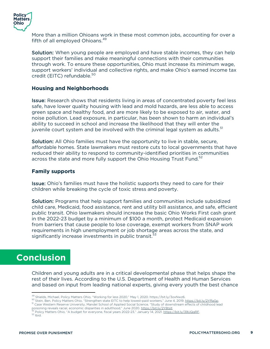

More than a million Ohioans work in these most common jobs, accounting for over a fifth of all employed Ohioans.<sup>49</sup>

Solution: When young people are employed and have stable incomes, they can help support their families and make meaningful connections with their communities through work. To ensure these opportunities, Ohio must increase its minimum wage, support workers' individual and collective rights, and make Ohio's earned income tax credit (EITC) refundable.<sup>50</sup>

#### **Housing and Neighborhoods**

Issue: Research shows that residents living in areas of concentrated poverty feel less safe, have lower quality housing with lead and mold hazards, are less able to access green space and healthy food, and are more likely to be exposed to air, water, and noise pollution. Lead exposure, in particular, has been shown to harm an individual's ability to succeed in school and increase the likelihood that they will enter the juvenile court system and be involved with the criminal legal system as adults.<sup>51</sup>

Solution: All Ohio families must have the opportunity to live in stable, secure, affordable homes. State lawmakers must restore cuts to local governments that have reduced their ability to respond to community-identified priorities in communities across the state and more fully support the Ohio Housing Trust Fund.<sup>52</sup>

#### **Family supports**

Issue: Ohio's families must have the holistic supports they need to care for their children while breaking the cycle of toxic stress and poverty.

Solution: Programs that help support families and communities include subsidized child care, Medicaid, food assistance, rent and utility bill assistance, and safe, efficient public transit. Ohio lawmakers should increase the basic Ohio Works First cash grant in the 2022-23 budget by a minimum of \$100 a month, protect Medicaid expansion from barriers that cause people to lose coverage, exempt workers from SNAP work requirements in high unemployment or job shortage areas across the state, and significantly increase investments in public transit. $53$ 

### **Conclusion**

Children and young adults are in a critical developmental phase that helps shape the rest of their lives. According to the U.S. Department of Health and Human Services and based on input from leading national experts, giving every youth the best chance

<sup>49</sup> Shields, Michael, Policy Matters Ohio, "Working for less 2020," May 1, 2020. https://bit.ly/3oxNwz6.<br><sup>50</sup> Stein, Ben, Policy Matters Ohio, "Strengthen state EITC to help lowest-paid workers," June 4, 2019. <u>https://b</u>

 $^{52}$  Policy Matters Ohio, "A budget for everyone, fiscal years 2022-23," January 14, 2021. <u>https://bit.ly/39UQgRF.</u>  $^{53}$  Ibid.